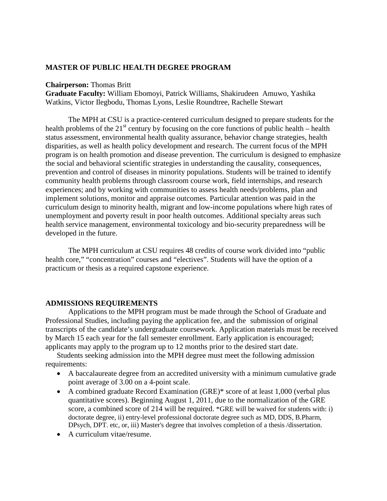#### **MASTER OF PUBLIC HEALTH DEGREE PROGRAM**

#### **Chairperson:** Thomas Britt

**Graduate Faculty:** William Ebomoyi, Patrick Williams, Shakirudeen Amuwo, Yashika Watkins, Victor Ilegbodu, Thomas Lyons, Leslie Roundtree, Rachelle Stewart

The MPH at CSU is a practice-centered curriculum designed to prepare students for the health problems of the  $21<sup>st</sup>$  century by focusing on the core functions of public health – health status assessment, environmental health quality assurance, behavior change strategies, health disparities, as well as health policy development and research. The current focus of the MPH program is on health promotion and disease prevention. The curriculum is designed to emphasize the social and behavioral scientific strategies in understanding the causality, consequences, prevention and control of diseases in minority populations. Students will be trained to identify community health problems through classroom course work, field internships, and research experiences; and by working with communities to assess health needs/problems, plan and implement solutions, monitor and appraise outcomes. Particular attention was paid in the curriculum design to minority health, migrant and low-income populations where high rates of unemployment and poverty result in poor health outcomes. Additional specialty areas such health service management, environmental toxicology and bio-security preparedness will be developed in the future.

The MPH curriculum at CSU requires 48 credits of course work divided into "public health core," "concentration" courses and "electives". Students will have the option of a practicum or thesis as a required capstone experience.

#### **ADMISSIONS REQUIREMENTS**

Applications to the MPH program must be made through the School of Graduate and Professional Studies, including paying the application fee, and the submission of original transcripts of the candidate's undergraduate coursework. Application materials must be received by March 15 each year for the fall semester enrollment. Early application is encouraged; applicants may apply to the program up to 12 months prior to the desired start date.

Students seeking admission into the MPH degree must meet the following admission requirements:

- A baccalaureate degree from an accredited university with a minimum cumulative grade point average of 3.00 on a 4-point scale.
- A combined graduate Record Examination (GRE)\* score of at least 1,000 (verbal plus quantitative scores). Beginning August 1, 2011, due to the normalization of the GRE score, a combined score of 214 will be required. \*GRE will be waived for students with: i) doctorate degree, ii) entry-level professional doctorate degree such as MD, DDS, B.Pharm, DPsych, DPT. etc, or, iii) Master's degree that involves completion of a thesis /dissertation.
- A curriculum vitae/resume.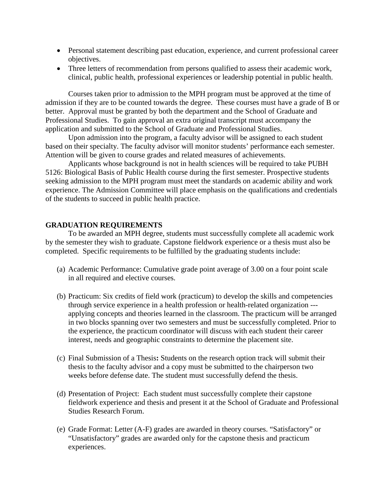- Personal statement describing past education, experience, and current professional career objectives.
- Three letters of recommendation from persons qualified to assess their academic work, clinical, public health, professional experiences or leadership potential in public health.

Courses taken prior to admission to the MPH program must be approved at the time of admission if they are to be counted towards the degree. These courses must have a grade of B or better. Approval must be granted by both the department and the School of Graduate and Professional Studies. To gain approval an extra original transcript must accompany the application and submitted to the School of Graduate and Professional Studies.

Upon admission into the program, a faculty advisor will be assigned to each student based on their specialty. The faculty advisor will monitor students' performance each semester. Attention will be given to course grades and related measures of achievements.

Applicants whose background is not in health sciences will be required to take PUBH 5126: Biological Basis of Public Health course during the first semester. Prospective students seeking admission to the MPH program must meet the standards on academic ability and work experience. The Admission Committee will place emphasis on the qualifications and credentials of the students to succeed in public health practice.

#### **GRADUATION REQUIREMENTS**

To be awarded an MPH degree, students must successfully complete all academic work by the semester they wish to graduate. Capstone fieldwork experience or a thesis must also be completed. Specific requirements to be fulfilled by the graduating students include:

- (a) Academic Performance: Cumulative grade point average of 3.00 on a four point scale in all required and elective courses.
- (b) Practicum: Six credits of field work (practicum) to develop the skills and competencies through service experience in a health profession or health-related organization -- applying concepts and theories learned in the classroom. The practicum will be arranged in two blocks spanning over two semesters and must be successfully completed. Prior to the experience, the practicum coordinator will discuss with each student their career interest, needs and geographic constraints to determine the placement site.
- (c) Final Submission of a Thesis**:** Students on the research option track will submit their thesis to the faculty advisor and a copy must be submitted to the chairperson two weeks before defense date. The student must successfully defend the thesis.
- (d) Presentation of Project: Each student must successfully complete their capstone fieldwork experience and thesis and present it at the School of Graduate and Professional Studies Research Forum.
- (e) Grade Format: Letter (A-F) grades are awarded in theory courses. "Satisfactory" or "Unsatisfactory" grades are awarded only for the capstone thesis and practicum experiences.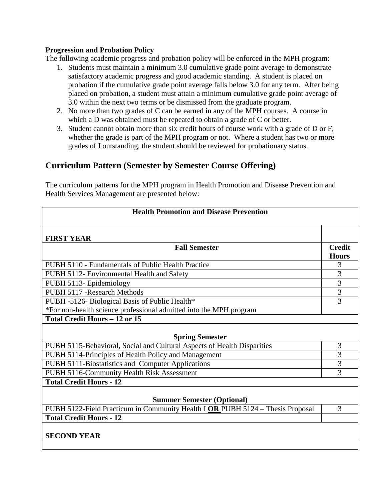#### **Progression and Probation Policy**

The following academic progress and probation policy will be enforced in the MPH program:

- 1. Students must maintain a minimum 3.0 cumulative grade point average to demonstrate satisfactory academic progress and good academic standing. A student is placed on probation if the cumulative grade point average falls below 3.0 for any term. After being placed on probation, a student must attain a minimum cumulative grade point average of 3.0 within the next two terms or be dismissed from the graduate program.
- 2. No more than two grades of C can be earned in any of the MPH courses. A course in which a D was obtained must be repeated to obtain a grade of C or better.
- 3. Student cannot obtain more than six credit hours of course work with a grade of D or F, whether the grade is part of the MPH program or not. Where a student has two or more grades of I outstanding, the student should be reviewed for probationary status.

# **Curriculum Pattern (Semester by Semester Course Offering)**

The curriculum patterns for the MPH program in Health Promotion and Disease Prevention and Health Services Management are presented below:

| <b>Health Promotion and Disease Prevention</b>                                 |                               |  |
|--------------------------------------------------------------------------------|-------------------------------|--|
| <b>FIRST YEAR</b>                                                              |                               |  |
| <b>Fall Semester</b>                                                           | <b>Credit</b><br><b>Hours</b> |  |
| PUBH 5110 - Fundamentals of Public Health Practice                             | 3                             |  |
| PUBH 5112- Environmental Health and Safety                                     | 3                             |  |
| PUBH 5113- Epidemiology                                                        | $\overline{3}$                |  |
| PUBH 5117 - Research Methods                                                   | $\overline{3}$                |  |
| PUBH -5126- Biological Basis of Public Health*                                 | 3                             |  |
| *For non-health science professional admitted into the MPH program             |                               |  |
| <b>Total Credit Hours - 12 or 15</b>                                           |                               |  |
| <b>Spring Semester</b>                                                         |                               |  |
| PUBH 5115-Behavioral, Social and Cultural Aspects of Health Disparities        | 3                             |  |
| PUBH 5114-Principles of Health Policy and Management                           | 3                             |  |
| PUBH 5111-Biostatistics and Computer Applications                              | $\overline{3}$                |  |
| PUBH 5116-Community Health Risk Assessment                                     | 3                             |  |
| <b>Total Credit Hours - 12</b>                                                 |                               |  |
| <b>Summer Semester (Optional)</b>                                              |                               |  |
| PUBH 5122-Field Practicum in Community Health I OR PUBH 5124 - Thesis Proposal | 3                             |  |
| <b>Total Credit Hours - 12</b>                                                 |                               |  |
| <b>SECOND YEAR</b>                                                             |                               |  |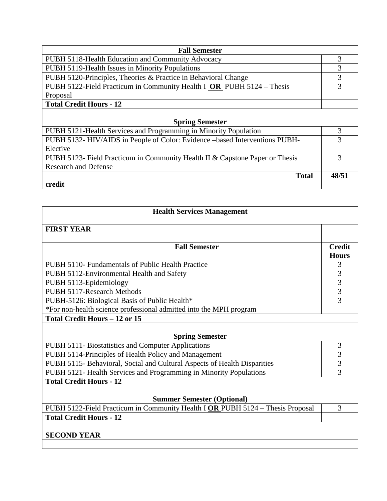| <b>Fall Semester</b>                                                         |       |
|------------------------------------------------------------------------------|-------|
| PUBH 5118-Health Education and Community Advocacy                            | 3     |
| PUBH 5119-Health Issues in Minority Populations                              | 3     |
| PUBH 5120-Principles, Theories & Practice in Behavioral Change               | 3     |
| PUBH 5122-Field Practicum in Community Health I OR PUBH 5124 – Thesis        | 3     |
| Proposal                                                                     |       |
| <b>Total Credit Hours - 12</b>                                               |       |
|                                                                              |       |
| <b>Spring Semester</b>                                                       |       |
| PUBH 5121-Health Services and Programming in Minority Population             | 3     |
| PUBH 5132- HIV/AIDS in People of Color: Evidence –based Interventions PUBH-  | 3     |
| Elective                                                                     |       |
| PUBH 5123- Field Practicum in Community Health II & Capstone Paper or Thesis | 3     |
| <b>Research and Defense</b>                                                  |       |
| <b>Total</b>                                                                 | 48/51 |
| credit                                                                       |       |

| <b>Health Services Management</b>                                              |                               |  |
|--------------------------------------------------------------------------------|-------------------------------|--|
| <b>FIRST YEAR</b>                                                              |                               |  |
| <b>Fall Semester</b>                                                           | <b>Credit</b><br><b>Hours</b> |  |
| PUBH 5110- Fundamentals of Public Health Practice                              | 3                             |  |
| PUBH 5112-Environmental Health and Safety                                      | 3                             |  |
| PUBH 5113-Epidemiology                                                         | $\overline{3}$                |  |
| PUBH 5117-Research Methods                                                     | 3                             |  |
| PUBH-5126: Biological Basis of Public Health*                                  | 3                             |  |
| *For non-health science professional admitted into the MPH program             |                               |  |
| <b>Total Credit Hours - 12 or 15</b>                                           |                               |  |
| <b>Spring Semester</b>                                                         |                               |  |
| PUBH 5111- Biostatistics and Computer Applications                             | 3                             |  |
| PUBH 5114-Principles of Health Policy and Management                           | 3                             |  |
| PUBH 5115- Behavioral, Social and Cultural Aspects of Health Disparities       | 3                             |  |
| PUBH 5121- Health Services and Programming in Minority Populations             | 3                             |  |
| <b>Total Credit Hours - 12</b>                                                 |                               |  |
| <b>Summer Semester (Optional)</b>                                              |                               |  |
| PUBH 5122-Field Practicum in Community Health I OR PUBH 5124 - Thesis Proposal | 3                             |  |
| <b>Total Credit Hours - 12</b>                                                 |                               |  |
| <b>SECOND YEAR</b>                                                             |                               |  |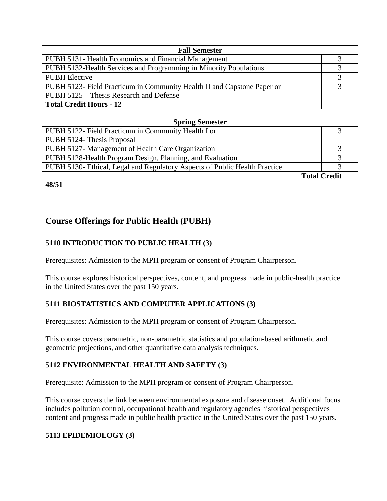| <b>Fall Semester</b>                                                       |                     |  |
|----------------------------------------------------------------------------|---------------------|--|
| PUBH 5131- Health Economics and Financial Management                       | 3                   |  |
| PUBH 5132-Health Services and Programming in Minority Populations          | 3                   |  |
| <b>PUBH</b> Elective                                                       | 3                   |  |
| PUBH 5123- Field Practicum in Community Health II and Capstone Paper or    | 3                   |  |
| PUBH 5125 – Thesis Research and Defense                                    |                     |  |
| <b>Total Credit Hours - 12</b>                                             |                     |  |
|                                                                            |                     |  |
| <b>Spring Semester</b>                                                     |                     |  |
| PUBH 5122- Field Practicum in Community Health I or                        | 3                   |  |
| PUBH 5124- Thesis Proposal                                                 |                     |  |
| PUBH 5127- Management of Health Care Organization                          | 3                   |  |
| PUBH 5128-Health Program Design, Planning, and Evaluation                  | 3                   |  |
| PUBH 5130- Ethical, Legal and Regulatory Aspects of Public Health Practice | 3                   |  |
|                                                                            | <b>Total Credit</b> |  |
| 48/51                                                                      |                     |  |
|                                                                            |                     |  |

# **Course Offerings for Public Health (PUBH)**

# **5110 INTRODUCTION TO PUBLIC HEALTH (3)**

Prerequisites: Admission to the MPH program or consent of Program Chairperson.

This course explores historical perspectives, content, and progress made in public-health practice in the United States over the past 150 years.

### **5111 BIOSTATISTICS AND COMPUTER APPLICATIONS (3)**

Prerequisites: Admission to the MPH program or consent of Program Chairperson.

This course covers parametric, non-parametric statistics and population-based arithmetic and geometric projections, and other quantitative data analysis techniques.

# **5112 ENVIRONMENTAL HEALTH AND SAFETY (3)**

Prerequisite: Admission to the MPH program or consent of Program Chairperson.

This course covers the link between environmental exposure and disease onset. Additional focus includes pollution control, occupational health and regulatory agencies historical perspectives content and progress made in public health practice in the United States over the past 150 years.

# **5113 EPIDEMIOLOGY (3)**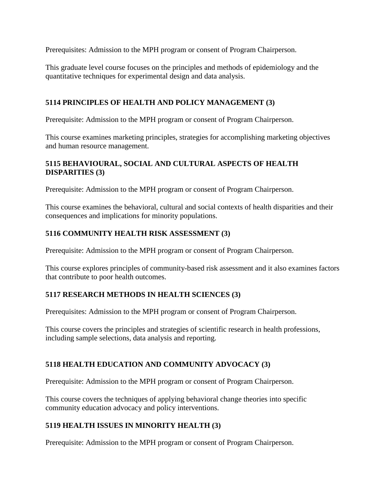Prerequisites: Admission to the MPH program or consent of Program Chairperson.

This graduate level course focuses on the principles and methods of epidemiology and the quantitative techniques for experimental design and data analysis.

#### **5114 PRINCIPLES OF HEALTH AND POLICY MANAGEMENT (3)**

Prerequisite: Admission to the MPH program or consent of Program Chairperson.

This course examines marketing principles, strategies for accomplishing marketing objectives and human resource management.

#### **5115 BEHAVIOURAL, SOCIAL AND CULTURAL ASPECTS OF HEALTH DISPARITIES (3)**

Prerequisite: Admission to the MPH program or consent of Program Chairperson.

This course examines the behavioral, cultural and social contexts of health disparities and their consequences and implications for minority populations.

### **5116 COMMUNITY HEALTH RISK ASSESSMENT (3)**

Prerequisite: Admission to the MPH program or consent of Program Chairperson.

This course explores principles of community-based risk assessment and it also examines factors that contribute to poor health outcomes.

#### **5117 RESEARCH METHODS IN HEALTH SCIENCES (3)**

Prerequisites: Admission to the MPH program or consent of Program Chairperson.

This course covers the principles and strategies of scientific research in health professions, including sample selections, data analysis and reporting.

### **5118 HEALTH EDUCATION AND COMMUNITY ADVOCACY (3)**

Prerequisite: Admission to the MPH program or consent of Program Chairperson.

This course covers the techniques of applying behavioral change theories into specific community education advocacy and policy interventions.

#### **5119 HEALTH ISSUES IN MINORITY HEALTH (3)**

Prerequisite: Admission to the MPH program or consent of Program Chairperson.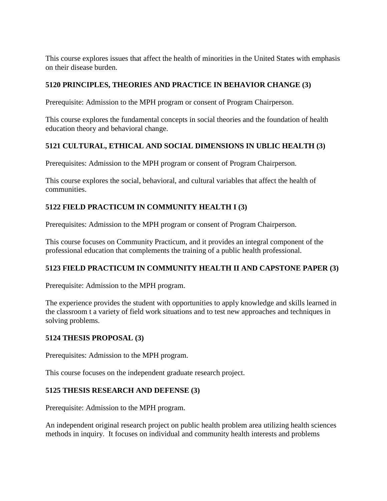This course explores issues that affect the health of minorities in the United States with emphasis on their disease burden.

### **5120 PRINCIPLES, THEORIES AND PRACTICE IN BEHAVIOR CHANGE (3)**

Prerequisite: Admission to the MPH program or consent of Program Chairperson.

This course explores the fundamental concepts in social theories and the foundation of health education theory and behavioral change.

### **5121 CULTURAL, ETHICAL AND SOCIAL DIMENSIONS IN UBLIC HEALTH (3)**

Prerequisites: Admission to the MPH program or consent of Program Chairperson.

This course explores the social, behavioral, and cultural variables that affect the health of communities.

### **5122 FIELD PRACTICUM IN COMMUNITY HEALTH I (3)**

Prerequisites: Admission to the MPH program or consent of Program Chairperson.

This course focuses on Community Practicum, and it provides an integral component of the professional education that complements the training of a public health professional.

### **5123 FIELD PRACTICUM IN COMMUNITY HEALTH II AND CAPSTONE PAPER (3)**

Prerequisite: Admission to the MPH program.

The experience provides the student with opportunities to apply knowledge and skills learned in the classroom t a variety of field work situations and to test new approaches and techniques in solving problems.

#### **5124 THESIS PROPOSAL (3)**

Prerequisites: Admission to the MPH program.

This course focuses on the independent graduate research project.

#### **5125 THESIS RESEARCH AND DEFENSE (3)**

Prerequisite: Admission to the MPH program.

An independent original research project on public health problem area utilizing health sciences methods in inquiry. It focuses on individual and community health interests and problems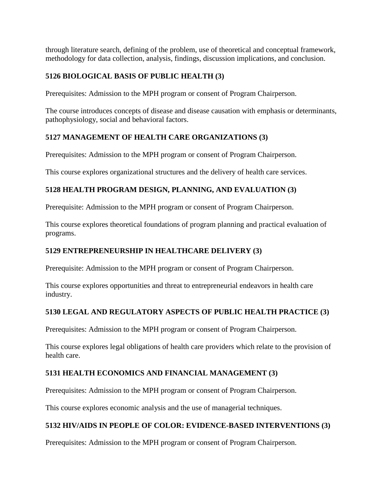through literature search, defining of the problem, use of theoretical and conceptual framework, methodology for data collection, analysis, findings, discussion implications, and conclusion.

### **5126 BIOLOGICAL BASIS OF PUBLIC HEALTH (3)**

Prerequisites: Admission to the MPH program or consent of Program Chairperson.

The course introduces concepts of disease and disease causation with emphasis or determinants, pathophysiology, social and behavioral factors.

#### **5127 MANAGEMENT OF HEALTH CARE ORGANIZATIONS (3)**

Prerequisites: Admission to the MPH program or consent of Program Chairperson.

This course explores organizational structures and the delivery of health care services.

### **5128 HEALTH PROGRAM DESIGN, PLANNING, AND EVALUATION (3)**

Prerequisite: Admission to the MPH program or consent of Program Chairperson.

This course explores theoretical foundations of program planning and practical evaluation of programs.

#### **5129 ENTREPRENEURSHIP IN HEALTHCARE DELIVERY (3)**

Prerequisite: Admission to the MPH program or consent of Program Chairperson.

This course explores opportunities and threat to entrepreneurial endeavors in health care industry.

#### **5130 LEGAL AND REGULATORY ASPECTS OF PUBLIC HEALTH PRACTICE (3)**

Prerequisites: Admission to the MPH program or consent of Program Chairperson.

This course explores legal obligations of health care providers which relate to the provision of health care.

#### **5131 HEALTH ECONOMICS AND FINANCIAL MANAGEMENT (3)**

Prerequisites: Admission to the MPH program or consent of Program Chairperson.

This course explores economic analysis and the use of managerial techniques.

#### **5132 HIV/AIDS IN PEOPLE OF COLOR: EVIDENCE-BASED INTERVENTIONS (3)**

Prerequisites: Admission to the MPH program or consent of Program Chairperson.